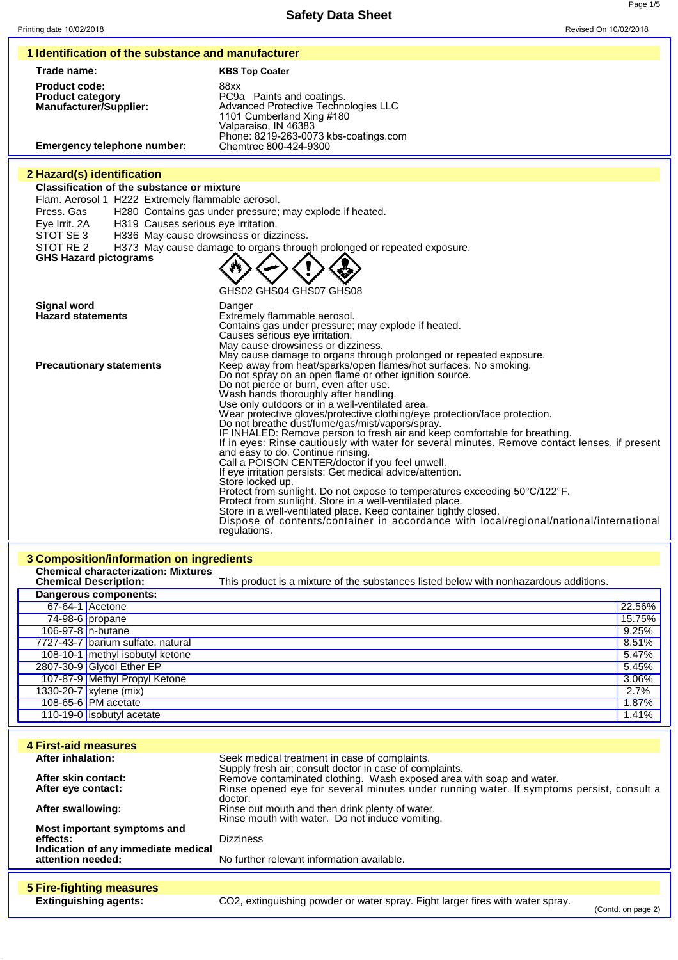Page 1/5

|                                                                                                        | 1 Identification of the substance and manufacturer                                                                                     |                  |
|--------------------------------------------------------------------------------------------------------|----------------------------------------------------------------------------------------------------------------------------------------|------------------|
| Trade name:                                                                                            | <b>KBS Top Coater</b>                                                                                                                  |                  |
| <b>Product code:</b><br><b>Product category</b><br><b>Manufacturer/Supplier:</b>                       | 88xx<br>PC9a Paints and coatings.<br>Advanced Protective Technologies LLC<br>1101 Cumberland Xing #180<br>Valparaiso, IN 46383         |                  |
| <b>Emergency telephone number:</b>                                                                     | Phone: 8219-263-0073 kbs-coatings.com<br>Chemtrec 800-424-9300                                                                         |                  |
| 2 Hazard(s) identification                                                                             |                                                                                                                                        |                  |
| <b>Classification of the substance or mixture</b><br>Flam. Aerosol 1 H222 Extremely flammable aerosol. |                                                                                                                                        |                  |
| Press, Gas                                                                                             | H280 Contains gas under pressure; may explode if heated.                                                                               |                  |
| H319 Causes serious eye irritation.<br>Eye Irrit. 2A                                                   |                                                                                                                                        |                  |
| STOT SE 3<br>STOT RE 2                                                                                 | H336 May cause drowsiness or dizziness.<br>H373 May cause damage to organs through prolonged or repeated exposure.                     |                  |
| <b>GHS Hazard pictograms</b>                                                                           |                                                                                                                                        |                  |
|                                                                                                        |                                                                                                                                        |                  |
|                                                                                                        | GHS02 GHS04 GHS07 GHS08                                                                                                                |                  |
| <b>Signal word</b>                                                                                     | Danger                                                                                                                                 |                  |
| <b>Hazard statements</b>                                                                               | Extremely flammable aerosol.<br>Contains gas under pressure; may explode if heated.                                                    |                  |
|                                                                                                        | Causes serious eye irritation.<br>May cause drowsiness or dizziness.                                                                   |                  |
|                                                                                                        | May cause damage to organs through prolonged or repeated exposure.                                                                     |                  |
| <b>Precautionary statements</b>                                                                        | Keep away from heat/sparks/open flames/hot surfaces. No smoking.<br>Do not spray on an open flame or other ignition source.            |                  |
|                                                                                                        | Do not pierce or burn, even after use.                                                                                                 |                  |
|                                                                                                        | Wash hands thoroughly after handling.<br>Use only outdoors or in a well-ventilated area.                                               |                  |
|                                                                                                        | Wear protective gloves/protective clothing/eye protection/face protection.<br>Do not breathe dust/fume/gas/mist/vapors/spray.          |                  |
|                                                                                                        | IF INHALED: Remove person to fresh air and keep comfortable for breathing.                                                             |                  |
|                                                                                                        | If in eyes: Rinse cautiously with water for several minutes. Remove contact lenses, if present<br>and easy to do. Continue rinsing.    |                  |
|                                                                                                        | Call a POISON CENTER/doctor if you feel unwell.<br>If eye irritation persists: Get medical advice/attention.                           |                  |
|                                                                                                        | Store locked up.                                                                                                                       |                  |
|                                                                                                        | Protect from sunlight. Do not expose to temperatures exceeding 50°C/122°F.<br>Protect from sunlight. Store in a well-ventilated place. |                  |
|                                                                                                        | Store in a well-ventilated place. Keep container tightly closed.                                                                       |                  |
|                                                                                                        | Dispose of contents/container in accordance with local/regional/national/international<br>regulations.                                 |                  |
|                                                                                                        |                                                                                                                                        |                  |
| 3 Composition/information on ingredients                                                               |                                                                                                                                        |                  |
| <b>Chemical characterization: Mixtures</b>                                                             |                                                                                                                                        |                  |
| <b>Chemical Description:</b>                                                                           | This product is a mixture of the substances listed below with nonhazardous additions.                                                  |                  |
| <b>Dangerous components:</b><br>67-64-1 Acetone                                                        |                                                                                                                                        |                  |
| 74-98-6 propane                                                                                        |                                                                                                                                        |                  |
| 106-97-8 n-butane                                                                                      |                                                                                                                                        | 9.25%            |
| 7727-43-7 barium sulfate, natural                                                                      |                                                                                                                                        | 8.51%            |
| 108-10-1 methyl isobutyl ketone<br>2807-30-9 Glycol Ether EP                                           |                                                                                                                                        | 5.47%<br>5.45%   |
| 107-87-9 Methyl Propyl Ketone                                                                          |                                                                                                                                        | 3.06%            |
| 1330-20-7 xylene (mix)                                                                                 |                                                                                                                                        | 2.7%             |
| 108-65-6 PM acetate<br>110-19-0 isobutyl acetate                                                       |                                                                                                                                        | 1.87%<br>1.41%   |
|                                                                                                        |                                                                                                                                        |                  |
| <b>4 First-aid measures</b><br><b>After inhalation:</b>                                                |                                                                                                                                        |                  |
|                                                                                                        | Seek medical treatment in case of complaints.<br>Supply fresh air; consult doctor in case of complaints.                               |                  |
| After skin contact:<br>After eye contact:                                                              | Remove contaminated clothing. Wash exposed area with soap and water.                                                                   |                  |
|                                                                                                        | Rinse opened eye for several minutes under running water. If symptoms persist, consult a<br>doctor.                                    |                  |
| After swallowing:                                                                                      | Rinse out mouth and then drink plenty of water.<br>Rinse mouth with water. Do not induce vomiting.                                     |                  |
| Most important symptoms and                                                                            |                                                                                                                                        |                  |
| effects:<br>Indication of any immediate medical<br>attention needed:                                   | <b>Dizziness</b><br>No further relevant information available.                                                                         | 22.56%<br>15.75% |
|                                                                                                        |                                                                                                                                        |                  |
| <b>5 Fire-fighting measures</b><br><b>Extinguishing agents:</b>                                        | CO2, extinguishing powder or water spray. Fight larger fires with water spray.                                                         |                  |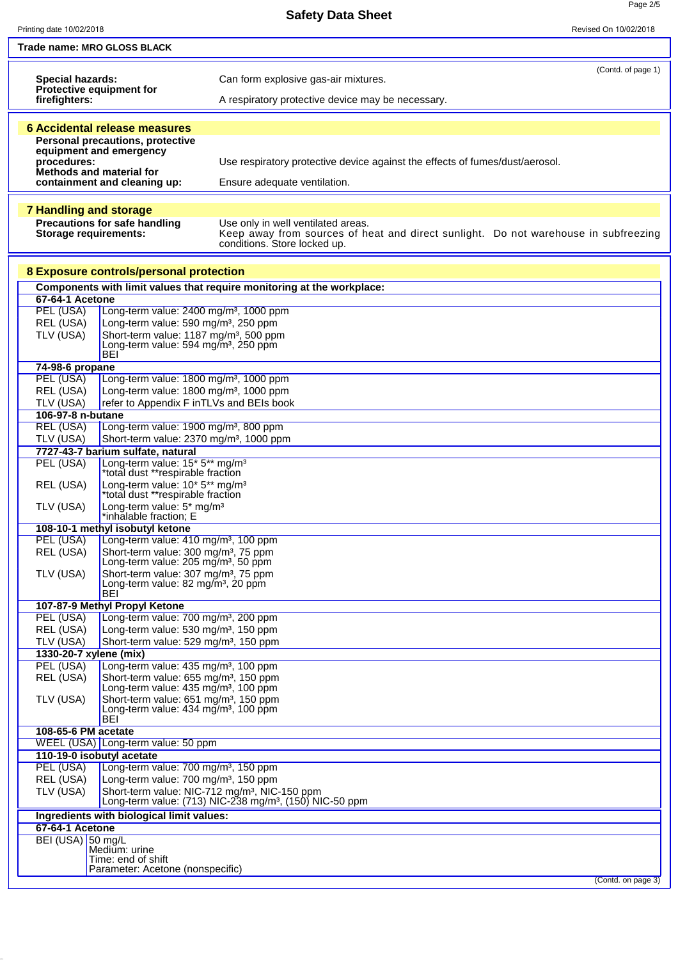**Safety Data Sheet**

Page 2/5

| Printing date 10/02/2018              |                                                                                                        |                                                                                                                                  | Revised On 10/02/2018 |
|---------------------------------------|--------------------------------------------------------------------------------------------------------|----------------------------------------------------------------------------------------------------------------------------------|-----------------------|
|                                       | Trade name: MRO GLOSS BLACK                                                                            |                                                                                                                                  |                       |
|                                       |                                                                                                        |                                                                                                                                  |                       |
| Special hazards:                      |                                                                                                        | Can form explosive gas-air mixtures.                                                                                             | (Contd. of page 1)    |
|                                       | Protective equipment for                                                                               |                                                                                                                                  |                       |
| firefighters:                         |                                                                                                        | A respiratory protective device may be necessary.                                                                                |                       |
|                                       |                                                                                                        |                                                                                                                                  |                       |
|                                       | <b>6 Accidental release measures</b><br>Personal precautions, protective                               |                                                                                                                                  |                       |
|                                       | equipment and emergency                                                                                |                                                                                                                                  |                       |
| procedures:                           | Methods and material for                                                                               | Use respiratory protective device against the effects of fumes/dust/aerosol.                                                     |                       |
|                                       | containment and cleaning up:                                                                           | Ensure adequate ventilation.                                                                                                     |                       |
|                                       |                                                                                                        |                                                                                                                                  |                       |
| <b>7 Handling and storage</b>         |                                                                                                        |                                                                                                                                  |                       |
|                                       | Precautions for safe handling                                                                          | Use only in well ventilated areas.                                                                                               |                       |
| <b>Storage requirements:</b>          |                                                                                                        | Keep away from sources of heat and direct sunlight. Do not warehouse in subfreezing<br>conditions. Store locked up.              |                       |
|                                       |                                                                                                        |                                                                                                                                  |                       |
|                                       | 8 Exposure controls/personal protection                                                                |                                                                                                                                  |                       |
|                                       |                                                                                                        | Components with limit values that require monitoring at the workplace:                                                           |                       |
| <b>67-64-1 Acetone</b>                |                                                                                                        |                                                                                                                                  |                       |
| PEL (USA)                             | Long-term value: 2400 mg/m <sup>3</sup> , 1000 ppm                                                     |                                                                                                                                  |                       |
| REL (USA)<br>TLV (USA)                | Long-term value: 590 mg/m <sup>3</sup> , 250 ppm<br>Short-term value: 1187 mg/m <sup>3</sup> , 500 ppm |                                                                                                                                  |                       |
|                                       | Long-term value: 594 mg/m <sup>3</sup> , 250 ppm                                                       |                                                                                                                                  |                       |
| 74-98-6 propane                       | <b>BEI</b>                                                                                             |                                                                                                                                  |                       |
| PEL (USA)                             | Long-term value: 1800 mg/m <sup>3</sup> , 1000 ppm                                                     |                                                                                                                                  |                       |
| REL (USA)                             | Long-term value: 1800 mg/m <sup>3</sup> , 1000 ppm                                                     |                                                                                                                                  |                       |
| TLV (USA)                             | refer to Appendix F inTLVs and BEIs book                                                               |                                                                                                                                  |                       |
| 106-97-8 n-butane<br><b>REL (USA)</b> | Long-term value: 1900 mg/m <sup>3</sup> , 800 ppm                                                      |                                                                                                                                  |                       |
| TLV (USA)                             | Short-term value: 2370 mg/m <sup>3</sup> , 1000 ppm                                                    |                                                                                                                                  |                       |
|                                       | 7727-43-7 barium sulfate, natural                                                                      |                                                                                                                                  |                       |
| PEL (USA)                             | Long-term value: 15* 5** mg/m <sup>3</sup>                                                             |                                                                                                                                  |                       |
| REL (USA)                             | *total dust **respirable fraction<br>Long-term value: 10* 5** mg/m <sup>3</sup>                        |                                                                                                                                  |                       |
|                                       | *total dust **respirable fraction                                                                      |                                                                                                                                  |                       |
| TLV (USA)                             | Long-term value: 5* mg/m <sup>3</sup><br>*inhalable fraction; E                                        |                                                                                                                                  |                       |
|                                       | 108-10-1 methyl isobutyl ketone                                                                        |                                                                                                                                  |                       |
| PEL (USA)                             | Long-term value: 410 mg/m <sup>3</sup> , 100 ppm                                                       |                                                                                                                                  |                       |
| REL (USA)                             | Short-term value: 300 mg/m <sup>3</sup> , 75 ppm                                                       |                                                                                                                                  |                       |
| TLV (USA)                             | Long-term value: 205 mg/m <sup>3</sup> , 50 ppm<br>Short-term value: 307 mg/m <sup>3</sup> , 75 ppm    |                                                                                                                                  |                       |
|                                       | Long-term value: $82 \text{ mg/m}^3$ , 20 ppm                                                          |                                                                                                                                  |                       |
|                                       | <b>BEI</b><br>107-87-9 Methyl Propyl Ketone                                                            |                                                                                                                                  |                       |
| PEL (USA)                             | Long-term value: 700 mg/m <sup>3</sup> , 200 ppm                                                       |                                                                                                                                  |                       |
| REL (USA)                             | Long-term value: 530 mg/m <sup>3</sup> , 150 ppm                                                       |                                                                                                                                  |                       |
| TLV (USA)                             | Short-term value: 529 mg/m <sup>3</sup> , 150 ppm                                                      |                                                                                                                                  |                       |
| 1330-20-7 xylene (mix)<br>PEL (USA)   | Long-term value: 435 mg/m <sup>3</sup> , 100 ppm                                                       |                                                                                                                                  |                       |
| REL (USA)                             | Short-term value: 655 mg/m <sup>3</sup> , 150 ppm                                                      |                                                                                                                                  |                       |
|                                       | Long-term value: 435 mg/m <sup>3</sup> , 100 ppm                                                       |                                                                                                                                  |                       |
| TLV (USA)                             | Short-term value: 651 mg/m <sup>3</sup> , 150 ppm<br>Long-term value: $434 \text{ mg/m}^3$ , 100 ppm   |                                                                                                                                  |                       |
|                                       | BEI                                                                                                    |                                                                                                                                  |                       |
| 108-65-6 PM acetate                   | WEEL (USA) Long-term value: 50 ppm                                                                     |                                                                                                                                  |                       |
|                                       | 110-19-0 isobutyl acetate                                                                              |                                                                                                                                  |                       |
| PEL (USA)                             | Long-term value: 700 mg/m <sup>3</sup> , 150 ppm                                                       |                                                                                                                                  |                       |
| REL (USA)                             | Long-term value: 700 mg/m <sup>3</sup> , 150 ppm                                                       |                                                                                                                                  |                       |
| TLV (USA)                             |                                                                                                        | Short-term value: NIC-712 mg/m <sup>3</sup> , NIC-150 ppm<br>Long-term value: (713) NIC-238 mg/m <sup>3</sup> , (150) NIC-50 ppm |                       |
|                                       | Ingredients with biological limit values:                                                              |                                                                                                                                  |                       |
| <b>67-64-1 Acetone</b>                |                                                                                                        |                                                                                                                                  |                       |
| BEI (USA) 50 mg/L                     |                                                                                                        |                                                                                                                                  |                       |
|                                       | Medium: urine<br>Time: end of shift                                                                    |                                                                                                                                  |                       |
|                                       | Parameter: Acetone (nonspecific)                                                                       |                                                                                                                                  |                       |
|                                       |                                                                                                        |                                                                                                                                  | (Contd. on page 3)    |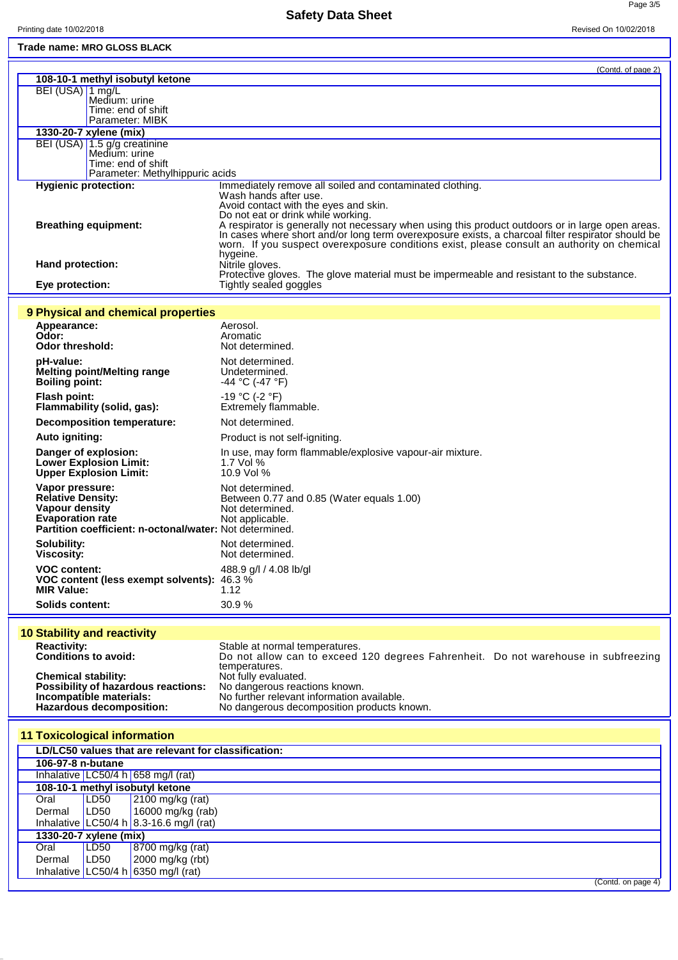Page 3/5

| Trade name: MRO GLOSS BLACK                                                        |                                                                                                                                                                                                  |
|------------------------------------------------------------------------------------|--------------------------------------------------------------------------------------------------------------------------------------------------------------------------------------------------|
|                                                                                    | (Contd. of page 2)                                                                                                                                                                               |
| 108-10-1 methyl isobutyl ketone                                                    |                                                                                                                                                                                                  |
| BEI (USA) 1 mg/L<br>Medium: urine                                                  |                                                                                                                                                                                                  |
| Time: end of shift                                                                 |                                                                                                                                                                                                  |
| Parameter: MIBK                                                                    |                                                                                                                                                                                                  |
| 1330-20-7 xylene (mix)<br>BEI (USA) 1.5 g/g creatinine                             |                                                                                                                                                                                                  |
| Medium: urine                                                                      |                                                                                                                                                                                                  |
| Time: end of shift<br>Parameter: Methylhippuric acids                              |                                                                                                                                                                                                  |
| <b>Hygienic protection:</b>                                                        | Immediately remove all soiled and contaminated clothing.                                                                                                                                         |
|                                                                                    | Wash hands after use.                                                                                                                                                                            |
|                                                                                    | Avoid contact with the eyes and skin.<br>Do not eat or drink while working.                                                                                                                      |
| <b>Breathing equipment:</b>                                                        | A respirator is generally not necessary when using this product outdoors or in large open areas.                                                                                                 |
|                                                                                    | In cases where short and/or long term overexposure exists, a charcoal filter respirator should be<br>worn. If you suspect overexposure conditions exist, please consult an authority on chemical |
|                                                                                    | hygeine.                                                                                                                                                                                         |
| Hand protection:                                                                   | Nitrile gloves.                                                                                                                                                                                  |
| Eye protection:                                                                    | Protective gloves. The glove material must be impermeable and resistant to the substance.<br>Tightly sealed goggles                                                                              |
|                                                                                    |                                                                                                                                                                                                  |
| 9 Physical and chemical properties                                                 |                                                                                                                                                                                                  |
| Appearance:                                                                        | Aerosol.                                                                                                                                                                                         |
| Odor:<br><b>Odor threshold:</b>                                                    | Aromatic<br>Not determined.                                                                                                                                                                      |
|                                                                                    | Not determined.                                                                                                                                                                                  |
| pH-value:<br><b>Melting point/Melting range</b>                                    | Undetermined.                                                                                                                                                                                    |
| <b>Boiling point:</b>                                                              | $-44 °C (-47 °F)$                                                                                                                                                                                |
| <b>Flash point:</b>                                                                | -19 °C (-2 °F)                                                                                                                                                                                   |
| Flammability (solid, gas):                                                         | Extremely flammable.                                                                                                                                                                             |
| <b>Decomposition temperature:</b>                                                  | Not determined.                                                                                                                                                                                  |
| Auto igniting:                                                                     | Product is not self-igniting.                                                                                                                                                                    |
| Danger of explosion:<br><b>Lower Explosion Limit:</b>                              | In use, may form flammable/explosive vapour-air mixture.<br>1.7 Vol %                                                                                                                            |
| <b>Upper Explosion Limit:</b>                                                      | 10.9 Vol %                                                                                                                                                                                       |
| Vapor pressure:                                                                    | Not determined.                                                                                                                                                                                  |
| <b>Relative Density:</b>                                                           | Between 0.77 and 0.85 (Water equals 1.00)                                                                                                                                                        |
| Vapour density<br><b>Evaporation rate</b>                                          | Not determined.<br>Not applicable.                                                                                                                                                               |
| Partition coefficient: n-octonal/water: Not determined.                            |                                                                                                                                                                                                  |
| Solubility:                                                                        | Not determined.                                                                                                                                                                                  |
| Viscosity:                                                                         | Not determined.                                                                                                                                                                                  |
| <b>VOC content:</b><br>VOC content (less exempt solvents): 46.3 %                  | 488.9 g/l / 4.08 lb/gl                                                                                                                                                                           |
| <b>MIR Value:</b>                                                                  | 1.12                                                                                                                                                                                             |
| <b>Solids content:</b>                                                             | 30.9%                                                                                                                                                                                            |
|                                                                                    |                                                                                                                                                                                                  |
| <b>10 Stability and reactivity</b>                                                 |                                                                                                                                                                                                  |
| <b>Reactivity:</b><br><b>Conditions to avoid:</b>                                  | Stable at normal temperatures.<br>Do not allow can to exceed 120 degrees Fahrenheit. Do not warehouse in subfreezing                                                                             |
|                                                                                    | temperatures.                                                                                                                                                                                    |
| <b>Chemical stability:</b><br>Possibility of hazardous reactions:                  | Not fully evaluated.<br>No dangerous reactions known.                                                                                                                                            |
| Incompatible materials:                                                            | No further relevant information available.                                                                                                                                                       |
| Hazardous decomposition:                                                           | No dangerous decomposition products known.                                                                                                                                                       |
|                                                                                    |                                                                                                                                                                                                  |
| <b>11 Toxicological information</b>                                                |                                                                                                                                                                                                  |
| LD/LC50 values that are relevant for classification:<br>106-97-8 n-butane          |                                                                                                                                                                                                  |
| Inhalative $LC50/4 h   658 mg/l$ (rat)                                             |                                                                                                                                                                                                  |
| 108-10-1 methyl isobutyl ketone                                                    |                                                                                                                                                                                                  |
| 2100 mg/kg (rat)<br>Oral<br>LD50                                                   |                                                                                                                                                                                                  |
| LD50<br>Dermal<br>16000 mg/kg (rab)<br>Inhalative   LC50/4 h   8.3-16.6 mg/l (rat) |                                                                                                                                                                                                  |
| 1330-20-7 xylene (mix)                                                             |                                                                                                                                                                                                  |
| Oral<br>LD50<br>8700 mg/kg (rat)                                                   |                                                                                                                                                                                                  |
| LD50<br>2000 mg/kg (rbt)<br>Dermal                                                 |                                                                                                                                                                                                  |
| Inhalative $LC50/4 h$ 6350 mg/l (rat)                                              | (Contd. on page 4)                                                                                                                                                                               |
|                                                                                    |                                                                                                                                                                                                  |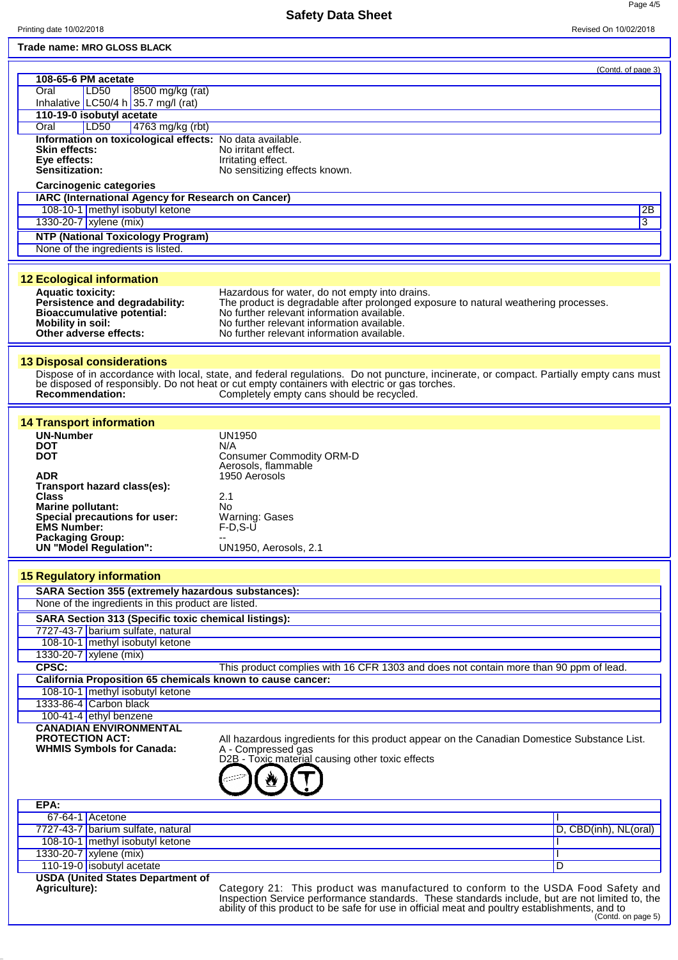Printing date 10/02/2018 Revised On 10/02/2018

## **Safety Data Sheet**

Page 4/5

| Trade name: MRO GLOSS BLACK                                 |                                                                                                                                         |                       |
|-------------------------------------------------------------|-----------------------------------------------------------------------------------------------------------------------------------------|-----------------------|
|                                                             |                                                                                                                                         | (Contd. of page 3)    |
| 108-65-6 PM acetate<br>Oral<br>LD <sub>50</sub>             |                                                                                                                                         |                       |
| 8500 mg/kg (rat)<br>Inhalative LC50/4 h 35.7 mg/l (rat)     |                                                                                                                                         |                       |
| 110-19-0 isobutyl acetate                                   |                                                                                                                                         |                       |
| 4763 mg/kg (rbt)<br>Oral<br> LD50                           |                                                                                                                                         |                       |
| Information on toxicological effects: No data available.    |                                                                                                                                         |                       |
| <b>Skin effects:</b><br>Eye effects:                        | No irritant effect.<br>Irritating effect.                                                                                               |                       |
| Sensitization:                                              | No sensitizing effects known.                                                                                                           |                       |
| <b>Carcinogenic categories</b>                              |                                                                                                                                         |                       |
| IARC (International Agency for Research on Cancer)          |                                                                                                                                         |                       |
| 108-10-1 methyl isobutyl ketone                             |                                                                                                                                         | 2B                    |
| 1330-20-7 xylene (mix)                                      |                                                                                                                                         | 3                     |
| <b>NTP (National Toxicology Program)</b>                    |                                                                                                                                         |                       |
| None of the ingredients is listed.                          |                                                                                                                                         |                       |
|                                                             |                                                                                                                                         |                       |
| <b>12 Ecological information</b>                            |                                                                                                                                         |                       |
| <b>Aquatic toxicity:</b><br>Persistence and degradability:  | Hazardous for water, do not empty into drains.<br>The product is degradable after prolonged exposure to natural weathering processes.   |                       |
| <b>Bioaccumulative potential:</b>                           | No further relevant information available.                                                                                              |                       |
| <b>Mobility in soil:</b><br>Other adverse effects:          | No further relevant information available.<br>No further relevant information available.                                                |                       |
|                                                             |                                                                                                                                         |                       |
| <b>13 Disposal considerations</b>                           |                                                                                                                                         |                       |
|                                                             | Dispose of in accordance with local, state, and federal regulations. Do not puncture, incinerate, or compact. Partially empty cans must |                       |
|                                                             | be disposed of responsibly. Do not heat or cut empty containers with electric or gas torches.                                           |                       |
| <b>Recommendation:</b>                                      | Completely empty cans should be recycled.                                                                                               |                       |
|                                                             |                                                                                                                                         |                       |
| <b>14 Transport information</b><br><b>UN-Number</b>         | <b>UN1950</b>                                                                                                                           |                       |
| <b>DOT</b>                                                  | N/A                                                                                                                                     |                       |
| <b>DOT</b>                                                  | <b>Consumer Commodity ORM-D</b>                                                                                                         |                       |
| <b>ADR</b>                                                  | Aerosols, flammable<br>1950 Aerosols                                                                                                    |                       |
| Transport hazard class(es):                                 |                                                                                                                                         |                       |
| <b>Class</b>                                                | 2.1                                                                                                                                     |                       |
| <b>Marine pollutant:</b><br>Special precautions for user:   | No<br>Warning: Gases                                                                                                                    |                       |
| <b>EMS Number:</b>                                          | $F-D, S-U$                                                                                                                              |                       |
| <b>Packaging Group:</b><br><b>UN "Model Regulation":</b>    | UN1950, Aerosols, 2.1                                                                                                                   |                       |
|                                                             |                                                                                                                                         |                       |
| <b>15 Regulatory information</b>                            |                                                                                                                                         |                       |
| SARA Section 355 (extremely hazardous substances):          |                                                                                                                                         |                       |
| None of the ingredients in this product are listed.         |                                                                                                                                         |                       |
| <b>SARA Section 313 (Specific toxic chemical listings):</b> |                                                                                                                                         |                       |
| 7727-43-7 barium sulfate, natural                           |                                                                                                                                         |                       |
| 108-10-1 methyl isobutyl ketone                             |                                                                                                                                         |                       |
| 1330-20-7 xylene (mix)<br>CPSC:                             |                                                                                                                                         |                       |
| California Proposition 65 chemicals known to cause cancer:  | This product complies with 16 CFR 1303 and does not contain more than 90 ppm of lead.                                                   |                       |
| 108-10-1 methyl isobutyl ketone                             |                                                                                                                                         |                       |
| 1333-86-4 Carbon black                                      |                                                                                                                                         |                       |
| 100-41-4 ethyl benzene                                      |                                                                                                                                         |                       |
| <b>CANADIAN ENVIRONMENTAL</b>                               |                                                                                                                                         |                       |
| <b>PROTECTION ACT:</b><br><b>WHMIS Symbols for Canada:</b>  | All hazardous ingredients for this product appear on the Canadian Domestice Substance List.<br>A - Compressed gas                       |                       |
|                                                             | D2B - Toxic material causing other toxic effects                                                                                        |                       |
|                                                             |                                                                                                                                         |                       |
|                                                             |                                                                                                                                         |                       |
| EPA:                                                        |                                                                                                                                         |                       |
| $67-64-1$ Acetone                                           |                                                                                                                                         |                       |
| 7727-43-7 barium sulfate, natural                           |                                                                                                                                         | D, CBD(inh), NL(oral) |
| 108-10-1 methyl isobutyl ketone                             |                                                                                                                                         |                       |
| 1330-20-7 xylene (mix)<br>110-19-0 isobutyl acetate         |                                                                                                                                         | D                     |
| <b>USDA (United States Department of</b>                    |                                                                                                                                         |                       |
| Agriculture):                                               | Category 21: This product was manufactured to conform to the USDA Food Safety and                                                       |                       |
|                                                             | Inspection Service performance standards. These standards include, but are not limited to, the                                          |                       |

ability of this product to be safe for use in official meat and poultry establishments, and to (Contd. on page 5)